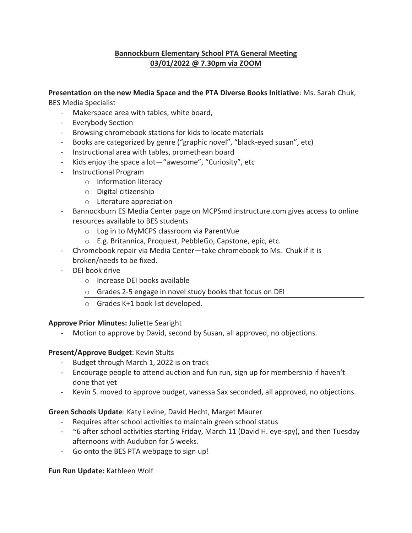## **Bannockburn Elementary School PTA General Meeting 03/01/2022 @ 7.30pm via ZOOM**

### **Presentation on the new Media Space and the PTA Diverse Books Initiative**: Ms. Sarah Chuk,

BES Media Specialist

- Makerspace area with tables, white board,
- Everybody Section
- Browsing chromebook stations for kids to locate materials
- Books are categorized by genre ("graphic novel", "black-eyed susan", etc)
- Instructional area with tables, promethean board
- Kids enjoy the space a lot—"awesome", "Curiosity", etc
- Instructional Program
	- o Information literacy
	- o Digital citizenship
	- o Literature appreciation
- Bannockburn ES Media Center page on MCPSmd.instructure.com gives access to online resources available to BES students
	- o Log in to MyMCPS classroom via ParentVue
	- o E.g. Britannica, Proquest, PebbleGo, Capstone, epic, etc.
- Chromebook repair via Media Center—take chromebook to Ms. Chuk if it is broken/needs to be fixed.
- DEI book drive
	- o Increase DEI books available
	- o Grades 2-5 engage in novel study books that focus on DEI
	- o Grades K+1 book list developed.

### **Approve Prior Minutes:** Juliette Searight

Motion to approve by David, second by Susan, all approved, no objections.

### **Present/Approve Budget**: Kevin Stults

- Budget through March 1, 2022 is on track
- Encourage people to attend auction and fun run, sign up for membership if haven't done that yet
- Kevin S. moved to approve budget, vanessa Sax seconded, all approved, no objections.

### **Green Schools Update**: Katy Levine, David Hecht, Marget Maurer

- Requires after school activities to maintain green school status
- ~6 after school activities starting Friday, March 11 (David H. eye-spy), and then Tuesday afternoons with Audubon for 5 weeks.
- Go onto the BES PTA webpage to sign up!

### **Fun Run Update:** Kathleen Wolf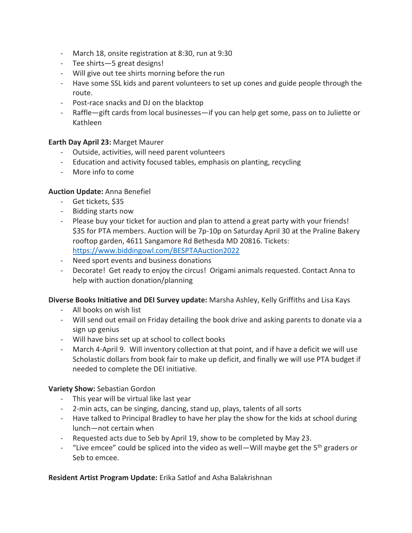- March 18, onsite registration at 8:30, run at 9:30
- Tee shirts—5 great designs!
- Will give out tee shirts morning before the run
- Have some SSL kids and parent volunteers to set up cones and guide people through the route.
- Post-race snacks and DJ on the blacktop
- Raffle—gift cards from local businesses—if you can help get some, pass on to Juliette or Kathleen

#### **Earth Day April 23:** Marget Maurer

- Outside, activities, will need parent volunteers
- Education and activity focused tables, emphasis on planting, recycling
- More info to come

#### **Auction Update:** Anna Benefiel

- Get tickets, \$35
- Bidding starts now
- Please buy your ticket for auction and plan to attend a great party with your friends! \$35 for PTA members. Auction will be 7p-10p on Saturday April 30 at the Praline Bakery rooftop garden, 4611 Sangamore Rd Bethesda MD 20816. Tickets: <https://www.biddingowl.com/BESPTAAuction2022>
- Need sport events and business donations
- Decorate! Get ready to enjoy the circus! Origami animals requested. Contact Anna to help with auction donation/planning

#### **Diverse Books Initiative and DEI Survey update:** Marsha Ashley, Kelly Griffiths and Lisa Kays

- All books on wish list
- Will send out email on Friday detailing the book drive and asking parents to donate via a sign up genius
- Will have bins set up at school to collect books
- March 4-April 9. Will inventory collection at that point, and if have a deficit we will use Scholastic dollars from book fair to make up deficit, and finally we will use PTA budget if needed to complete the DEI initiative.

#### **Variety Show:** Sebastian Gordon

- This year will be virtual like last year
- 2-min acts, can be singing, dancing, stand up, plays, talents of all sorts
- Have talked to Principal Bradley to have her play the show for the kids at school during lunch—not certain when
- Requested acts due to Seb by April 19, show to be completed by May 23.
- "Live emcee" could be spliced into the video as well—Will maybe get the  $5<sup>th</sup>$  graders or Seb to emcee.

**Resident Artist Program Update:** Erika Satlof and Asha Balakrishnan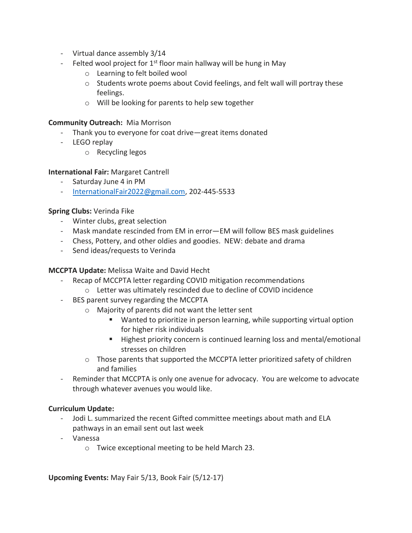- Virtual dance assembly 3/14
- Felted wool project for  $1<sup>st</sup>$  floor main hallway will be hung in May
	- o Learning to felt boiled wool
	- $\circ$  Students wrote poems about Covid feelings, and felt wall will portray these feelings.
	- o Will be looking for parents to help sew together

#### **Community Outreach:** Mia Morrison

- Thank you to everyone for coat drive—great items donated
- LEGO replay
	- o Recycling legos

### **International Fair:** Margaret Cantrell

- Saturday June 4 in PM
- [InternationalFair2022@gmail.com,](mailto:InternationalFair2022@gmail.com) 202-445-5533

#### **Spring Clubs:** Verinda Fike

- Winter clubs, great selection
- Mask mandate rescinded from EM in error—EM will follow BES mask guidelines
- Chess, Pottery, and other oldies and goodies. NEW: debate and drama
- Send ideas/requests to Verinda

### **MCCPTA Update:** Melissa Waite and David Hecht

- Recap of MCCPTA letter regarding COVID mitigation recommendations
	- o Letter was ultimately rescinded due to decline of COVID incidence
- BES parent survey regarding the MCCPTA
	- o Majority of parents did not want the letter sent
		- Wanted to prioritize in person learning, while supporting virtual option for higher risk individuals
		- Highest priority concern is continued learning loss and mental/emotional stresses on children
	- $\circ$  Those parents that supported the MCCPTA letter prioritized safety of children and families
- Reminder that MCCPTA is only one avenue for advocacy. You are welcome to advocate through whatever avenues you would like.

### **Curriculum Update:**

- Jodi L. summarized the recent Gifted committee meetings about math and ELA pathways in an email sent out last week
- Vanessa
	- o Twice exceptional meeting to be held March 23.

**Upcoming Events:** May Fair 5/13, Book Fair (5/12-17)